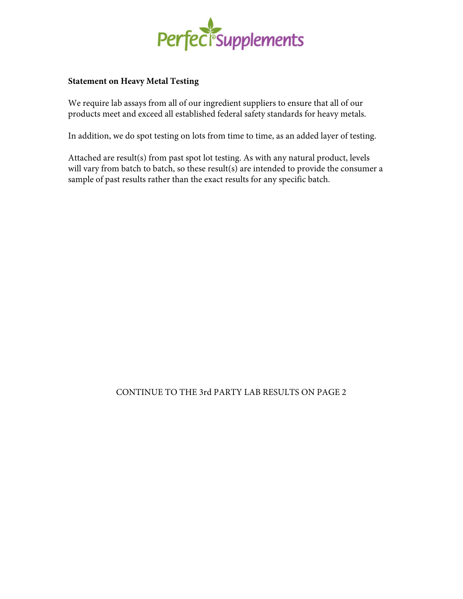

## **Statement on Heavy Metal Testing**

We require lab assays from all of our ingredient suppliers to ensure that all of our products meet and exceed all established federal safety standards for heavy metals.

In addition, we do spot testing on lots from time to time, as an added layer of testing.

Attached are result(s) from past spot lot testing. As with any natural product, levels will vary from batch to batch, so these result(s) are intended to provide the consumer a sample of past results rather than the exact results for any specific batch.

## CONTINUE TO THE 3rd PARTY LAB RESULTS ON PAGE 2